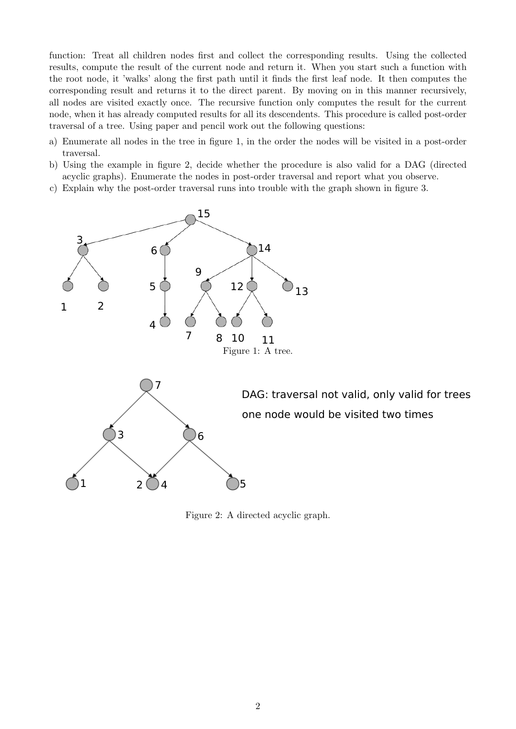function: Treat all children nodes first and collect the corresponding results. Using the collected results, compute the result of the current node and return it. When you start such a function with the root node, it 'walks' along the first path until it finds the first leaf node. It then computes the corresponding result and returns it to the direct parent. By moving on in this manner recursively, all nodes are visited exactly once. The recursive function only computes the result for the current node, when it has already computed results for all its descendents. This procedure is called post-order traversal of a tree. Using paper and pencil work out the following questions:

- a) Enumerate all nodes in the tree in figure 1, in the order the nodes will be visited in a post-order traversal.
- b) Using the example in figure 2, decide whether the procedure is also valid for a DAG (directed acyclic graphs). Enumerate the nodes in post-order traversal and report what you observe.
- c) Explain why the post-order traversal runs into trouble with the graph shown in figure 3.



Figure 2: A directed acyclic graph.